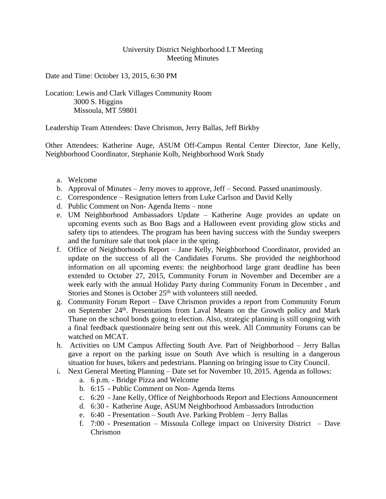## University District Neighborhood LT Meeting Meeting Minutes

Date and Time: October 13, 2015, 6:30 PM

## Location: Lewis and Clark Villages Community Room 3000 S. Higgins Missoula, MT 59801

Leadership Team Attendees: Dave Chrismon, Jerry Ballas, Jeff Birkby

Other Attendees: Katherine Auge, ASUM Off-Campus Rental Center Director, Jane Kelly, Neighborhood Coordinator, Stephanie Kolb, Neighborhood Work Study

- a. Welcome
- b. Approval of Minutes Jerry moves to approve, Jeff Second. Passed unanimously.
- c. Correspondence Resignation letters from Luke Carlson and David Kelly
- d. Public Comment on Non- Agenda Items none
- e. UM Neighborhood Ambassadors Update Katherine Auge provides an update on upcoming events such as Boo Bags and a Halloween event providing glow sticks and safety tips to attendees. The program has been having success with the Sunday sweepers and the furniture sale that took place in the spring.
- f. Office of Neighborhoods Report Jane Kelly, Neighborhood Coordinator, provided an update on the success of all the Candidates Forums. She provided the neighborhood information on all upcoming events: the neighborhood large grant deadline has been extended to October 27, 2015, Community Forum in November and December are a week early with the annual Holiday Party during Community Forum in December , and Stories and Stones is October 25<sup>th</sup> with volunteers still needed.
- g. Community Forum Report Dave Chrismon provides a report from Community Forum on September 24<sup>th</sup>. Presentations from Laval Means on the Growth policy and Mark Thane on the school bonds going to election. Also, strategic planning is still ongoing with a final feedback questionnaire being sent out this week. All Community Forums can be watched on MCAT.
- h. Activities on UM Campus Affecting South Ave. Part of Neighborhood Jerry Ballas gave a report on the parking issue on South Ave which is resulting in a dangerous situation for buses, bikers and pedestrians. Planning on bringing issue to City Council.
- i. Next General Meeting Planning Date set for November 10, 2015. Agenda as follows:
	- a. 6 p.m. Bridge Pizza and Welcome
	- b. 6:15 Public Comment on Non- Agenda Items
	- c. 6:20 Jane Kelly, Office of Neighborhoods Report and Elections Announcement
	- d. 6:30 Katherine Auge, ASUM Neighborhood Ambassadors Introduction
	- e. 6:40 Presentation South Ave. Parking Problem Jerry Ballas
	- f. 7:00 Presentation Missoula College impact on University District Dave Chrismon